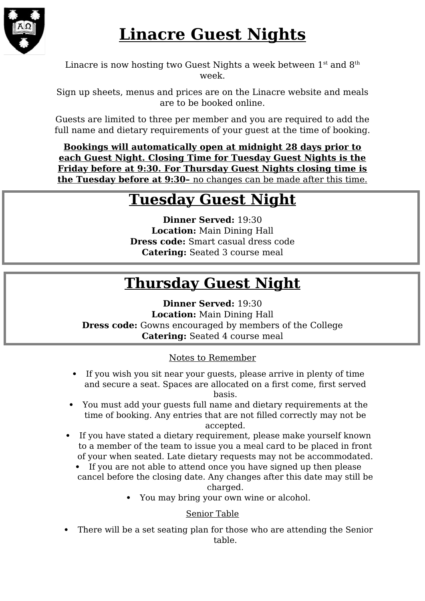

# **Linacre Guest Nights**

Linacre is now hosting two Guest Nights a week between  $1<sup>st</sup>$  and  $8<sup>th</sup>$ week.

Sign up sheets, menus and prices are on the Linacre website and meals are to be booked online.

Guests are limited to three per member and you are required to add the full name and dietary requirements of your guest at the time of booking.

**Bookings will automatically open at midnight 28 days prior to each Guest Night. Closing Time for Tuesday Guest Nights is the Friday before at 9:30. For Thursday Guest Nights closing time is the Tuesday before at 9:30–** no changes can be made after this time.

### **Tuesday Guest Night**

**Dinner Served:** 19:30 **Location:** Main Dining Hall **Dress code:** Smart casual dress code **Catering:** Seated 3 course meal

## **Thursday Guest Night**

**Dinner Served:** 19:30 **Location:** Main Dining Hall **Dress code:** Gowns encouraged by members of the College **Catering:** Seated 4 course meal

#### Notes to Remember

- If you wish you sit near your guests, please arrive in plenty of time and secure a seat. Spaces are allocated on a first come, first served basis.
- You must add your guests full name and dietary requirements at the time of booking. Any entries that are not filled correctly may not be accepted.
- If you have stated a dietary requirement, please make yourself known to a member of the team to issue you a meal card to be placed in front of your when seated. Late dietary requests may not be accommodated.
	- If you are not able to attend once you have signed up then please cancel before the closing date. Any changes after this date may still be charged.
		- You may bring your own wine or alcohol.

#### Senior Table

 There will be a set seating plan for those who are attending the Senior table.